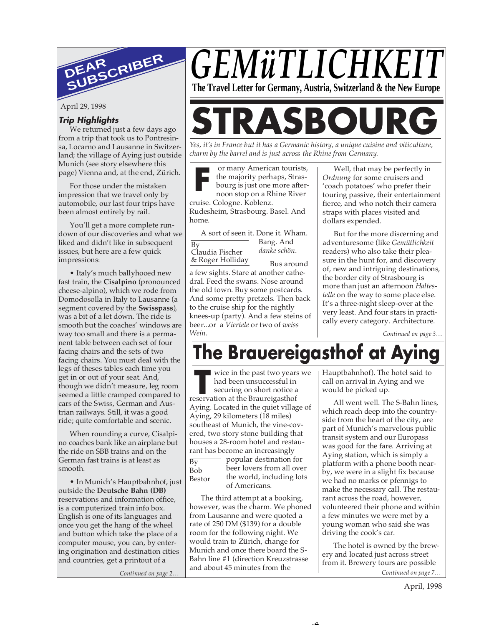

April 29, 1998

# **Trip Highlights**

We returned just a few days ago from a trip that took us to Pontresinsa, Locarno and Lausanne in Switzerland; the village of Aying just outside Munich (see story elsewhere this page) Vienna and, at the end, Zürich.

For those under the mistaken impression that we travel only by automobile, our last four trips have been almost entirely by rail.

You'll get a more complete rundown of our discoveries and what we liked and didn't like in subsequent issues, but here are a few quick impressions:

• Italy's much ballyhooed new fast train, the **Cisalpino** (pronounced cheese-alpino), which we rode from Domodosolla in Italy to Lausanne (a segment covered by the **Swisspass**), was a bit of a let down. The ride is smooth but the coaches' windows are way too small and there is a permanent table between each set of four facing chairs and the sets of two facing chairs. You must deal with the legs of theses tables each time you get in or out of your seat. And, though we didn't measure, leg room seemed a little cramped compared to cars of the Swiss, German and Austrian railways. Still, it was a good ride; quite comfortable and scenic.

When rounding a curve, Cisalpino coaches bank like an airplane but the ride on SBB trains and on the German fast trains is at least as smooth.

• In Munich's Hauptbahnhof, just outside the **Deutsche Bahn (DB)** reservations and information office, is a computerized train info box. English is one of its languages and once you get the hang of the wheel and button which take the place of a computer mouse, you can, by entering origination and destination cities and countries, get a printout of a

*Continued on page 2… Continued on page 7…*

# *GEMüTLICHKE* **The Travel Letter for Germany, Austria, Switzerland & the New Europe**

# **STRASBOURG**

*Yes, it's in France but it has a Germanic history, a unique cuisine and viticulture, charm by the barrel and is just across the Rhine from Germany.*

**F** or many American tourists, the majority perhaps, Strasbourg is just one more afternoon stop on a Rhine River

cruise. Cologne. Koblenz. Rudesheim, Strasbourg. Basel. And home.

 $\overline{Bv}$ A sort of seen it. Done it. Wham. Bang. And

Claudia Fischer *danke schön*.

& Roger Holliday

Bus around

a few sights. Stare at another cathedral. Feed the swans. Nose around the old town. Buy some postcards. And some pretty pretzels. Then back to the cruise ship for the nightly knees-up (party). And a few steins of beer...or a *Viertele* or two of *weiss Wein*.

Well, that may be perfectly in *Ordnung* for some cruisers and 'coach potatoes' who prefer their touring passive, their entertainment fierce, and who notch their camera straps with places visited and dollars expended.

But for the more discerning and adventuresome (like *Gemütlichkeit* readers) who also take their pleasure in the hunt for, and discovery of, new and intriguing destinations, the border city of Strasbourg is more than just an afternoon *Haltestelle* on the way to some place else. It's a three-night sleep-over at the very least. And four stars in practically every category. Architecture.

*Continued on page 3…*

# **The Brauereigasthof at Ay**

ے ۔

Figure in the past two years<br>
had been unsuccessful in<br>
securing on short notice a<br>
reservation at the Braureigasthof  $\overline{Bv}$ Bob wice in the past two years we had been unsuccessful in securing on short notice a Aying. Located in the quiet village of Aying, 29 kilometers (18 miles) southeast of Munich, the vine-covered, two story stone building that houses a 28-room hotel and restaurant has become an increasingly popular destination for beer lovers from all over

Bestor

the world, including lots of Americans.

The third attempt at a booking, however, was the charm. We phoned from Lausanne and were quoted a rate of 250 DM (\$139) for a double room for the following night. We would train to Zürich, change for Munich and once there board the S-Bahn line #1 (direction Kreuzstrasse and about 45 minutes from the

Hauptbahnhof). The hotel said to call on arrival in Aying and we would be picked up.

All went well. The S-Bahn lines, which reach deep into the countryside from the heart of the city, are part of Munich's marvelous public transit system and our Europass was good for the fare. Arriving at Aying station, which is simply a platform with a phone booth nearby, we were in a slight fix because we had no marks or pfennigs to make the necessary call. The restaurant across the road, however, volunteered their phone and within a few minutes we were met by a young woman who said she was driving the cook's car.

The hotel is owned by the brewery and located just across street from it. Brewery tours are possible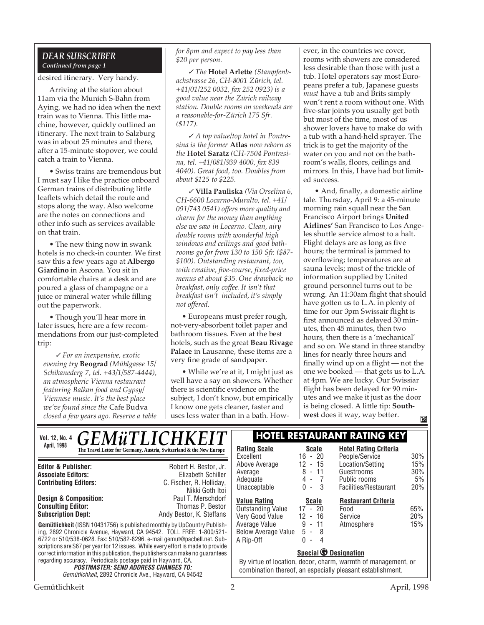# *DEAR SUBSCRIBER Continued from page 1*

desired itinerary. Very handy.

Arriving at the station about 11am via the Munich S-Bahn from Aying, we had no idea when the next train was to Vienna. This little machine, however, quickly outlined an itinerary. The next train to Salzburg was in about 25 minutes and there, after a 15-minute stopover, we could catch a train to Vienna.

• Swiss trains are tremendous but I must say I like the practice onboard German trains of distributing little leaflets which detail the route and stops along the way. Also welcome are the notes on connections and other info such as services available on that train.

• The new thing now in swank hotels is no check-in counter. We first saw this a few years ago at **Albergo Giardino** in Ascona. You sit in comfortable chairs at a desk and are poured a glass of champagne or a juice or mineral water while filling out the paperwork.

• Though you'll hear more in later issues, here are a few recommendations from our just-completed trip:

✓ *For an inexpensive, exotic evening try* **Beograd** *(Mühlgasse 15/ Schikanederg 7, tel. +43/1/587-4444), an atmospheric Vienna restaurant featuring Balkan food and Gypsy/ Viennese music. It's the best place we've found since the* Cafe Budva *closed a few years ago. Reserve a table*

*for 8pm and expect to pay less than \$20 per person.*

✓ *The* **Hotel Arlette** *(Stampfenbachstrasse 26, CH-8001 Zürich, tel. +41/01/252 0032, fax 252 0923) is a good value near the Zürich railway station. Double rooms on weekends are a reasonable-for-Zürich 175 Sfr. (\$117).*

✓ *A top value/top hotel in Pontresina is the former* **Atlas** *now reborn as the* **Hotel Saratz** *(CH-7504 Pontresina, tel. +41/081/939 4000, fax 839 4040). Great food, too. Doubles from about \$125 to \$225.*

✓ **Villa Pauliska** *(Via Orselina 6, CH-6600 Locarno-Muralto, tel. +41/ 091/743 0541) offers more quality and charm for the money than anything else we saw in Locarno. Clean, airy double rooms with wonderful high windows and ceilings and good bathrooms go for from 130 to 150 Sfr. (\$87- \$100). Outstanding restaurant, too, with creative, five-course, fixed-price menus at about \$35. One drawback; no breakfast, only coffee. It isn't that breakfast isn't included, it's simply not offered.*

• Europeans must prefer rough, not-very-absorbent toilet paper and bathroom tissues. Even at the best hotels, such as the great **Beau Rivage Palace** in Lausanne, these items are a very fine grade of sandpaper.

• While we're at it, I might just as well have a say on showers. Whether there is scientific evidence on the subject, I don't know, but empirically I know one gets cleaner, faster and uses less water than in a bath. However, in the countries we cover, rooms with showers are considered less desirable than those with just a tub. Hotel operators say most Europeans prefer a tub, Japanese guests *must* have a tub and Brits simply won't rent a room without one. With five-star joints you usually get both but most of the time, most of us shower lovers have to make do with a tub with a hand-held sprayer. The trick is to get the majority of the water on you and not on the bathroom's walls, floors, ceilings and mirrors. In this, I have had but limited success.

• And, finally, a domestic airline tale. Thursday, April 9: a 45-minute morning rain squall near the San Francisco Airport brings **United Airlines'** San Francisco to Los Angeles shuttle service almost to a halt. Flight delays are as long as five hours; the terminal is jammed to overflowing; temperatures are at sauna levels; most of the trickle of information supplied by United ground personnel turns out to be wrong. An 11:30am flight that should have gotten us to L.A. in plenty of time for our 3pm Swissair flight is first announced as delayed 30 minutes, then 45 minutes, then two hours, then there is a 'mechanical' and so on. We stand in three standby lines for nearly three hours and finally wind up on a flight — not the one we booked — that gets us to L.A. at 4pm. We are lucky. Our Swissiar flight has been delayed for 90 minutes and we make it just as the door is being closed. A little tip: **Southwest** does it way, way better.M

| <b>GEMÜTLICHKEIT</b><br><b>Vol. 12, No. 4</b>                                                                                                                                                                                                                                                                                                                                                                          |                                                                                                                                                                                                                               | <b>HOTEL RESTAURANT RATING KEY</b>                                                                                                                                                         |                                                             |                                                                         |                         |
|------------------------------------------------------------------------------------------------------------------------------------------------------------------------------------------------------------------------------------------------------------------------------------------------------------------------------------------------------------------------------------------------------------------------|-------------------------------------------------------------------------------------------------------------------------------------------------------------------------------------------------------------------------------|--------------------------------------------------------------------------------------------------------------------------------------------------------------------------------------------|-------------------------------------------------------------|-------------------------------------------------------------------------|-------------------------|
| April, 1998                                                                                                                                                                                                                                                                                                                                                                                                            | The Travel Letter for Germany, Austria, Switzerland & the New Europe                                                                                                                                                          | <b>Rating Scale</b><br>Excellent                                                                                                                                                           | <b>Scale</b><br>$16 - 20$                                   | <b>Hotel Rating Criteria</b><br>People/Service                          | 30%                     |
| <b>Editor &amp; Publisher:</b><br><b>Associate Editors:</b><br><b>Contributing Editors:</b>                                                                                                                                                                                                                                                                                                                            | Robert H. Bestor, Jr.<br>Elizabeth Schiller<br>C. Fischer, R. Holliday,<br>Nikki Goth Itoi                                                                                                                                    | Above Average<br>Average<br>Adequate<br>Unacceptable                                                                                                                                       | $12 - 15$<br>$8 - 11$<br>$4 - 7$<br>$0 - 3$                 | Location/Setting<br>Guestrooms<br>Public rooms<br>Facilities/Restaurant | 15%<br>30%<br>5%<br>20% |
| <b>Design &amp; Composition:</b><br><b>Consulting Editor:</b><br><b>Subscription Dept:</b>                                                                                                                                                                                                                                                                                                                             | Paul T. Merschdorf<br>Thomas P. Bestor<br>Andy Bestor, K. Steffans<br><b>Gemütlichkeit</b> (ISSN 10431756) is published monthly by UpCountry Publish-<br>ing, 2892 Chronicle Avenue, Hayward, CA 94542. TOLL FREE: 1-800/521- | <b>Value Rating</b><br>Outstanding Value<br>Very Good Value<br>Average Value<br><b>Below Average Value</b>                                                                                 | <b>Scale</b><br>$17 - 20$<br>$12 - 16$<br>$9 - 11$<br>5 - 8 | <b>Restaurant Criteria</b><br>Food<br>Service<br>Atmosphere             | 65%<br>20%<br>15%       |
| 6722 or 510/538-0628. Fax: 510/582-8296. e-mail gemut@pacbell.net. Sub-<br>scriptions are \$67 per year for 12 issues. While every effort is made to provide<br>correct information in this publication, the publishers can make no quarantees<br>regarding accuracy. Periodicals postage paid in Hayward, CA.<br><b>POSTMASTER: SEND ADDRESS CHANGES TO:</b><br>Gemütlichkeit, 2892 Chronicle Ave., Hayward, CA 94542 |                                                                                                                                                                                                                               | A Rip-Off<br>$0 -$<br>4<br>Special <sup>o</sup> Designation<br>By virtue of location, decor, charm, warmth of management, or<br>combination thereof, an especially pleasant establishment. |                                                             |                                                                         |                         |
|                                                                                                                                                                                                                                                                                                                                                                                                                        |                                                                                                                                                                                                                               |                                                                                                                                                                                            |                                                             |                                                                         |                         |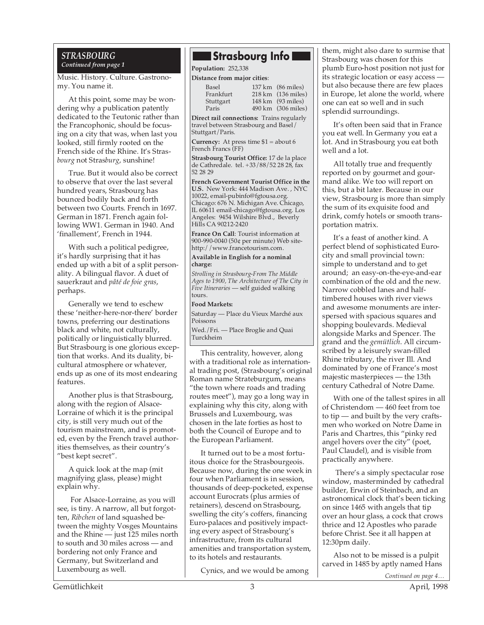### *STRASBOURG Continued from page 1*

Music. History. Culture. Gastronomy. You name it.

At this point, some may be wondering why a publication patently dedicated to the Teutonic rather than the Francophonic, should be focusing on a city that was, when last you looked, still firmly rooted on the French side of the Rhine. It's Stras*bourg* not Stras*burg*, sunshine!

True. But it would also be correct to observe that over the last several hundred years, Strasbourg has bounced bodily back and forth between two Courts. French in 1697. German in 1871. French again following WW1. German in 1940. And 'finallement', French in 1944.

With such a political pedigree, it's hardly surprising that it has ended up with a bit of a split personality. A bilingual flavor. A duet of sauerkraut and *pâté de foie gras*, perhaps.

Generally we tend to eschew these 'neither-here-nor-there' border towns, preferring our destinations black and white, not culturally, politically or linguistically blurred. But Strasbourg is one glorious exception that works. And its duality, bicultural atmosphere or whatever, ends up as one of its most endearing features.

Another plus is that Strasbourg, along with the region of Alsace-Lorraine of which it is the principal city, is still very much out of the tourism mainstream, and is promoted, even by the French travel authorities themselves, as their country's "best kept secret".

A quick look at the map (mit magnifying glass, please) might explain why.

 For Alsace-Lorraine, as you will see, is tiny. A narrow, all but forgotten, *Ribchen* of land squashed between the mighty Vosges Mountains and the Rhine — just 125 miles north to south and 30 miles across — and bordering not only France and Germany, but Switzerland and Luxembourg as well.

# **Strasbourg Info**

**Population:** 252,338

**Distance from major cities**:

| 137 km (86 miles)  |
|--------------------|
| 218 km (136 miles) |
| 148 km (93 miles)  |
| 490 km (306 miles) |
|                    |

**Direct rail connections:** Trains regularly travel between Strasbourg and Basel/ Stuttgart/Paris.

**Currency:** At press time \$1 = about 6 French Francs (FF)

**Strasbourg Tourist Office:** 17 de la place de Cathredale. tel. +33/88/52 28 28, fax 52 28 29

**French Government Tourist Office in the U.S.** New York: 444 Madison Ave. , NYC 10022, email-pubinfo@fgtousa.org. Chicago: 676 N. Michigan Ave. Chicago, IL 60611 email-chicago@fgtousa.org. Los Angeles: 9454 Wilshire Blvd., Beverly Hills CA 90212-2420

**France On Call**: Tourist information at 900-990-0040 (50¢ per minute) Web sitehttp://www.francetourism.com.

#### **Available in English for a nominal charge:**

*Strolling in Strasbourg-From The Middle Ages to 1900, The Architecture of The City in Five Itineraries* — self guided walking tours.

#### **Food Markets:**

Saturday — Place du Vieux Marché aux Poissons

Wed./Fri. — Place Broglie and Quai Turckheim

This centrality, however, along with a traditional role as international trading post, (Strasbourg's original Roman name Strateburgum, means "the town where roads and trading routes meet"), may go a long way in explaining why this city, along with Brussels and Luxembourg, was chosen in the late forties as host to both the Council of Europe and to the European Parliament.

It turned out to be a most fortuitous choice for the Strasbourgeois. Because now, during the one week in four when Parliament is in session, thousands of deep-pocketed, expense account Eurocrats (plus armies of retainers), descend on Strasbourg, swelling the city's coffers, financing Euro-palaces and positively impacting every aspect of Strasbourg's infrastructure, from its cultural amenities and transportation system, to its hotels and restaurants.

Cynics, and we would be among

them, might also dare to surmise that Strasbourg was chosen for this plumb Euro-host position not just for its strategic location or easy access but also because there are few places in Europe, let alone the world, where one can eat so well and in such splendid surroundings.

It's often been said that in France you eat well. In Germany you eat a lot. And in Strasbourg you eat both well and a lot.

All totally true and frequently reported on by gourmet and gourmand alike. We too will report on this, but a bit later. Because in our view, Strasbourg is more than simply the sum of its exquisite food and drink, comfy hotels or smooth transportation matrix.

It's a feast of another kind. A perfect blend of sophisticated Eurocity and small provincial town: simple to understand and to get around; an easy-on-the-eye-and-ear combination of the old and the new. Narrow cobbled lanes and halftimbered houses with river views and awesome monuments are interspersed with spacious squares and shopping boulevards. Medieval alongside Marks and Spencer. The grand and the *gemütlich*. All circumscribed by a leisurely swan-filled Rhine tributary, the river Ill. And dominated by one of France's most majestic masterpieces — the 13th century Cathedral of Notre Dame.

With one of the tallest spires in all of Christendom — 460 feet from toe to tip — and built by the very craftsmen who worked on Notre Dame in Paris and Chartres, this "pinky red angel hovers over the city" (poet, Paul Claudel), and is visible from practically anywhere.

 There's a simply spectacular rose window, masterminded by cathedral builder, Erwin of Steinbach, and an astronomical clock that's been ticking on since 1465 with angels that tip over an hour glass, a cock that crows thrice and 12 Apostles who parade before Christ. See it all happen at 12:30pm daily.

Also not to be missed is a pulpit carved in 1485 by aptly named Hans

*Continued on page 4…*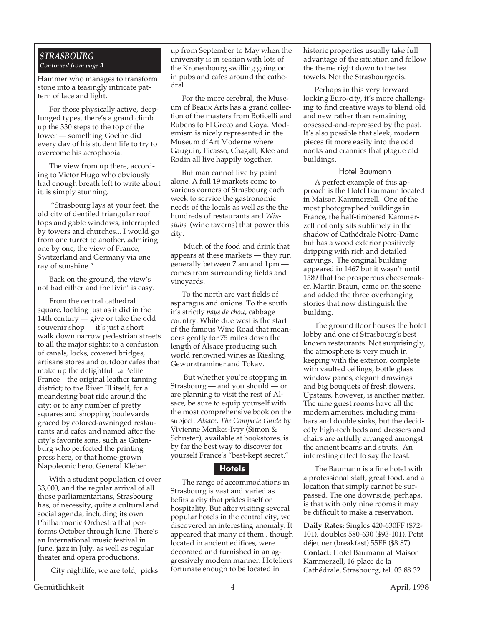# *STRASBOURG Continued from page 3*

Hammer who manages to transform stone into a teasingly intricate pattern of lace and light.

For those physically active, deeplunged types, there's a grand climb up the 330 steps to the top of the tower — something Goethe did every day of his student life to try to overcome his acrophobia.

The view from up there, according to Victor Hugo who obviously had enough breath left to write about it, is simply stunning.

 "Strasbourg lays at your feet, the old city of dentiled triangular roof tops and gable windows, interrupted by towers and churches... I would go from one turret to another, admiring one by one, the view of France, Switzerland and Germany via one ray of sunshine."

Back on the ground, the view's not bad either and the livin' is easy.

From the central cathedral square, looking just as it did in the 14th century — give or take the odd souvenir shop — it's just a short walk down narrow pedestrian streets to all the major sights: to a confusion of canals, locks, covered bridges, artisans stores and outdoor cafes that make up the delightful La Petite France—the original leather tanning district; to the River Ill itself, for a meandering boat ride around the city; or to any number of pretty squares and shopping boulevards graced by colored-awninged restaurants and cafes and named after the city's favorite sons, such as Gutenburg who perfected the printing press here, or that home-grown Napoleonic hero, General Kleber.

With a student population of over 33,000, and the regular arrival of all those parliamentarians, Strasbourg has, of necessity, quite a cultural and social agenda, including its own Philharmonic Orchestra that performs October through June. There's an International music festival in June, jazz in July, as well as regular theater and opera productions.

City nightlife, we are told, picks

up from September to May when the university is in session with lots of the Kronenbourg swilling going on in pubs and cafes around the cathedral.

For the more cerebral, the Museum of Beaux Arts has a grand collection of the masters from Boticelli and Rubens to El Greco and Goya. Modernism is nicely represented in the Museum d'Art Moderne where Gauguin, Picasso, Chagall, Klee and Rodin all live happily together.

But man cannot live by paint alone. A full 19 markets come to various corners of Strasbourg each week to service the gastronomic needs of the locals as well as the the hundreds of restaurants and *Winstubs* (wine taverns) that power this city.

 Much of the food and drink that appears at these markets — they run generally between 7 am and 1pm comes from surrounding fields and vineyards.

To the north are vast fields of asparagus and onions. To the south it's strictly *pays de chou*, cabbage country. While due west is the start of the famous Wine Road that meanders gently for 75 miles down the length of Alsace producing such world renowned wines as Riesling, Gewurztraminer and Tokay.

 But whether you're stopping in Strasbourg — and you should — or are planning to visit the rest of Alsace, be sure to equip yourself with the most comprehensive book on the subject. *Alsace, The Complete Guide* by Vivienne Menkes-Ivry (Simon & Schuster), available at bookstores, is by far the best way to discover for yourself France's "best-kept secret."

# **Hotels**

The range of accommodations in Strasbourg is vast and varied as befits a city that prides itself on hospitality. But after visiting several popular hotels in the central city, we discovered an interesting anomaly. It appeared that many of them , though located in ancient edifices, were decorated and furnished in an aggressively modern manner. Hoteliers fortunate enough to be located in

historic properties usually take full advantage of the situation and follow the theme right down to the tea towels. Not the Strasbourgeois.

Perhaps in this very forward looking Euro-city, it's more challenging to find creative ways to blend old and new rather than remaining obsessed-and-repressed by the past. It's also possible that sleek, modern pieces fit more easily into the odd nooks and crannies that plague old buildings.

# Hotel Baumann

A perfect example of this approach is the Hotel Baumann located in Maison Kammerzell. One of the most photographed buildings in France, the half-timbered Kammerzell not only sits sublimely in the shadow of Cathédrale Notre-Dame but has a wood exterior positively dripping with rich and detailed carvings. The original building appeared in 1467 but it wasn't until 1589 that the prosperous cheesemaker, Martin Braun, came on the scene and added the three overhanging stories that now distinguish the building.

The ground floor houses the hotel lobby and one of Strasbourg's best known restaurants. Not surprisingly, the atmosphere is very much in keeping with the exterior, complete with vaulted ceilings, bottle glass window panes, elegant drawings and big bouquets of fresh flowers. Upstairs, however, is another matter. The nine guest rooms have all the modern amenities, including minibars and double sinks, but the decidedly high-tech beds and dressers and chairs are artfully arranged amongst the ancient beams and struts. An interesting effect to say the least.

The Baumann is a fine hotel with a professional staff, great food, and a location that simply cannot be surpassed. The one downside, perhaps, is that with only nine rooms it may be difficult to make a reservation.

**Daily Rates:** Singles 420-630FF (\$72- 101), doubles 580-630 (\$93-101). Petit déjeuner (breakfast) 55FF (\$8.87) **Contact:** Hotel Baumann at Maison Kammerzell, 16 place de la Cathédrale, Strasbourg, tel. 03 88 32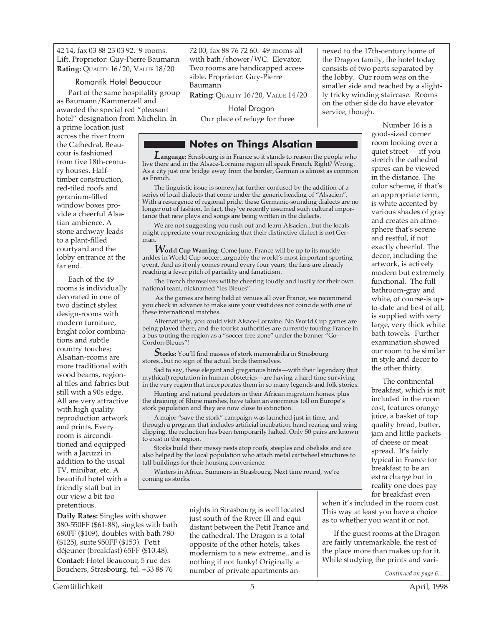42 14, fax 03 88 23 03 92. 9 rooms. Lift. Proprietor: Guy-Pierre Baumann **Rating:** QUALITY 16/20, VALUE 18/20

#### Romantik Hotel Beaucour

Part of the same hospitality group as Baumann/Kammerzell and awarded the special red "pleasant hotel" designation from Michelin. In

a prime location just across the river from the Cathedral, Beaucour is fashioned from five 18th-century houses. Halftimber construction, red-tiled roofs and geranium-filled window boxes provide a cheerful Alsatian ambience. A stone archway leads to a plant-filled courtyard and the lobby entrance at the far end.

Each of the 49 rooms is individually decorated in one of two distinct styles: design-rooms with modern furniture, bright color combinations and subtle country touches; Alsatian-rooms are more traditional with wood beams, regional tiles and fabrics but still with a 90s edge. All are very attractive with high quality reproduction artwork and prints. Every room is airconditioned and equipped with a Jacuzzi in addition to the usual TV, minibar, etc. A beautiful hotel with a friendly staff but in our view a bit too pretentious.

72 00, fax 88 76 72 60. 49 rooms all with bath/shower/WC. Elevator. Two rooms are handicapped accessible. Proprietor: Guy-Pierre Baumann

**Rating:** QUALITY 16/20, VALUE 14/20

Hotel Dragon Our place of refuge for three

# **Notes on Things Alsatian**

*L***anguage:** Strasbourg is in France so it stands to reason the people who live there and in the Alsace-Lorraine region all speak French. Right? Wrong. As a city just one bridge away from the border, German is almost as common as French.

The linguistic issue is somewhat further confused by the addition of a series of local dialects that come under the generic heading of "Alsacien". With a resurgence of regional pride, these Germanic-sounding dialects are no longer out of fashion. In fact, they've recently assumed such cultural importance that new plays and songs are being written in the dialects.

We are not suggesting you rush out and learn Alsacien...but the locals might appreciate your recognizing that their distinctive dialect is not German.

*W***orld Cup Warning**: Come June, France will be up to its muddy ankles in World Cup soccer...arguably the world's most important sporting event. And as it only comes round every four years, the fans are already reaching a fever pitch of partiality and fanaticism.

The French themselves will be cheering loudly and lustily for their own national team, nicknamed "les Bleues".

 As the games are being held at venues all over France, we recommend you check in advance to make sure your visit does not coincide with one of these international matches.

Alternatively, you could visit Alsace-Lorraine. No World Cup games are being played there, and the tourist authorities are currently touring France in a bus touting the region as a "soccer free zone" under the banner "Go— Cordon-Bleues"!

**Storks:** You'll find masses of stork memorabilia in Strasbourg stores...but no sign of the actual birds themselves.

Sad to say, these elegant and gregarious birds—with their legendary (but mythical) reputation in human obstetrics—are having a hard time surviving in the very region that incorporates them in so many legends and folk stories.

Hunting and natural predators in their African migration homes, plus the draining of Rhine marshes, have taken an enormous toll on Europe's stork population and they are now close to extinction.

A major "save the stork" campaign was launched just in time, and through a program that includes artificial incubation, hand rearing and wing clipping, the reduction has been temporarily halted. Only 50 pairs are known to exist in the region.

Storks build their messy nests atop roofs, steeples and obelisks and are also helped by the local population who attach metal cartwheel structures to tall buildings for their housing convenience.

Winters in Africa. Summers in Strasbourg. Next time round, we're coming as storks.

**Daily Rates:** Singles with shower 380-550FF (\$61-88), singles with bath 680FF (\$109), doubles with bath 780 (\$125), suite 950FF (\$153). Petit déjeuner (breakfast) 65FF (\$10.48). **Contact:** Hotel Beaucour, 5 rue des Bouchers, Strasbourg, tel. +33 88 76

nights in Strasbourg is well located just south of the River Ill and equidistant between the Petit France and the cathedral. The Dragon is a total opposite of the other hotels, takes modernism to a new extreme...and is nothing if not funky! Originally a number of private apartments annexed to the 17th-century home of the Dragon family, the hotel today consists of two parts separated by the lobby. Our room was on the smaller side and reached by a slightly tricky winding staircase. Rooms on the other side do have elevator service, though.

> Number 16 is a good-sized corner room looking over a quiet street — itf you stretch the cathedral spires can be viewed in the distance. The color scheme, if that's an appropriate term, is white accented by various shades of gray and creates an atmosphere that's serene and restful, if not exactly cheerful. The decor, including the artwork, is actively modern but extremely functional. The full bathroom-gray and white, of course-is upto-date and best of all, is supplied with very large, very thick white bath towels. Further examination showed our room to be similar in style and decor to the other thirty.

The continental breakfast, which is not included in the room cost, features orange juice, a basket of top quality bread, butter, jam and little packets of cheese or meat spread. It's fairly typical in France for breakfast to be an extra charge but in reality one does pay for breakfast even

when it's included in the room cost. This way at least you have a choice as to whether you want it or not.

If the guest rooms at the Dragon are fairly unremarkable, the rest of the place more than makes up for it. While studying the prints and vari-

*Continued on page 6…*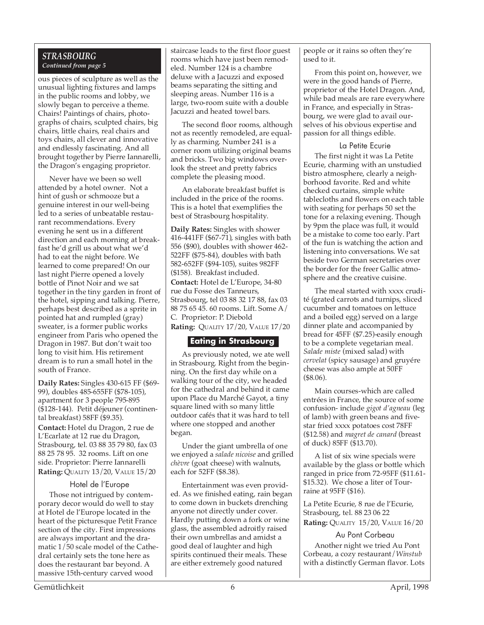# *STRASBOURG Continued from page 5*

ous pieces of sculpture as well as the unusual lighting fixtures and lamps in the public rooms and lobby, we slowly began to perceive a theme. Chairs! Paintings of chairs, photographs of chairs, sculpted chairs, big chairs, little chairs, real chairs and toys chairs, all clever and innovative and endlessly fascinating. And all brought together by Pierre Iannarelli, the Dragon's engaging proprietor.

Never have we been so well attended by a hotel owner. Not a hint of gush or schmooze but a genuine interest in our well-being led to a series of unbeatable restaurant recommendations. Every evening he sent us in a different direction and each morning at breakfast he'd grill us about what we'd had to eat the night before. We learned to come prepared! On our last night Pierre opened a lovely bottle of Pinot Noir and we sat together in the tiny garden in front of the hotel, sipping and talking. Pierre, perhaps best described as a sprite in pointed hat and rumpled (gray) sweater, is a former public works engineer from Paris who opened the Dragon in 1987. But don't wait too long to visit him. His retirement dream is to run a small hotel in the south of France.

**Daily Rates:** Singles 430-615 FF (\$69- 99), doubles 485-655FF (\$78-105), apartment for 3 people 795-895 (\$128-144). Petit déjeuner (continental breakfast) 58FF (\$9.35).

**Contact:** Hotel du Dragon, 2 rue de L'Ecarlate at 12 rue du Dragon, Strasbourg, tel. 03 88 35 79 80, fax 03 88 25 78 95. 32 rooms. Lift on one side. Proprietor: Pierre Iannarelli **Rating:** QUALITY 13/20, VALUE 15/20

#### Hotel de l'Europe

Those not intrigued by contemporary decor would do well to stay at Hotel de l'Europe located in the heart of the picturesque Petit France section of the city. First impressions are always important and the dramatic 1/50 scale model of the Cathedral certainly sets the tone here as does the restaurant bar beyond. A massive 15th-century carved wood

staircase leads to the first floor guest rooms which have just been remodeled. Number 124 is a chambre deluxe with a Jacuzzi and exposed beams separating the sitting and sleeping areas. Number 116 is a large, two-room suite with a double Jacuzzi and heated towel bars.

The second floor rooms, although not as recently remodeled, are equally as charming. Number 241 is a corner room utilizing original beams and bricks. Two big windows overlook the street and pretty fabrics complete the pleasing mood.

An elaborate breakfast buffet is included in the price of the rooms. This is a hotel that exemplifies the best of Strasbourg hospitality.

**Daily Rates:** Singles with shower 416-441FF (\$67-71), singles with bath 556 (\$90), doubles with shower 462- 522FF (\$75-84), doubles with bath 582-652FF (\$94-105), suites 982FF (\$158). Breakfast included. **Contact:** Hotel de L'Europe, 34-80 rue du Fosse des Tanneurs, Strasbourg, tel 03 88 32 17 88, fax 03 88 75 65 45. 60 rooms. Lift. Some A/ C. Proprietor: P. Diebold **Rating:** QUALITY 17/20, VALUE 17/20

# **Eating in Strasbourg**

As previously noted, we ate well in Strasbourg. Right from the beginning. On the first day while on a walking tour of the city, we headed for the cathedral and behind it came upon Place du Marché Gayot, a tiny square lined with so many little outdoor cafés that it was hard to tell where one stopped and another began.

Under the giant umbrella of one we enjoyed a *salade nicoise* and grilled *chèvre* (goat cheese) with walnuts, each for 52FF (\$8.38).

Entertainment was even provided. As we finished eating, rain began to come down in buckets drenching anyone not directly under cover. Hardly putting down a fork or wine glass, the assembled adroitly raised their own umbrellas and amidst a good deal of laughter and high spirits continued their meals. These are either extremely good natured

people or it rains so often they're used to it.

From this point on, however, we were in the good hands of Pierre, proprietor of the Hotel Dragon. And, while bad meals are rare everywhere in France, and especially in Strasbourg, we were glad to avail ourselves of his obvious expertise and passion for all things edible.

## La Petite Ecurie

The first night it was La Petite Ecurie, charming with an unstudied bistro atmosphere, clearly a neighborhood favorite. Red and white checked curtains, simple white tablecloths and flowers on each table with seating for perhaps 50 set the tone for a relaxing evening. Though by 9pm the place was full, it would be a mistake to come too early. Part of the fun is watching the action and listening into conversations. We sat beside two German secretaries over the border for the freer Gallic atmosphere and the creative cuisine.

The meal started with xxxx crudité (grated carrots and turnips, sliced cucumber and tomatoes on lettuce and a boiled egg) served on a large dinner plate and accompanied by bread for 45FF (\$7.25)-easily enough to be a complete vegetarian meal. *Salade miste* (mixed salad) with *cervelat* (spicy sausage) and gruyére cheese was also ample at 50FF (\$8.06).

Main courses-which are called entrées in France, the source of some confusion- include *gigot d'agneau* (leg of lamb) with green beans and fivestar fried xxxx potatoes cost 78FF (\$12.58) and *magret de canard* (breast of duck) 85FF (\$13.70).

A list of six wine specials were available by the glass or bottle which ranged in price from 72-95FF (\$11.61- \$15.32). We chose a liter of Tourraine at 95FF (\$16).

La Petite Ecurie, 8 rue de l'Ecurie, Strasbourg, tel. 88 23 06 22 **Rating:** QUALITY 15/20, VALUE 16/20

Au Pont Corbeau Another night we tried Au Pont Corbeau, a cozy restaurant/*Winstub* with a distinctly German flavor. Lots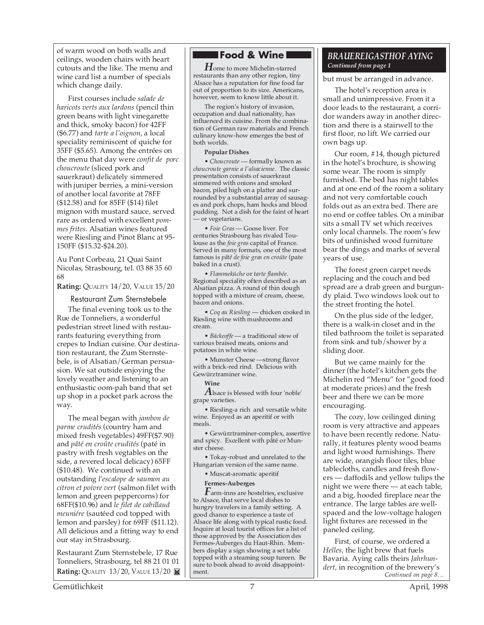of warm wood on both walls and ceilings, wooden chairs with heart cutouts and the like. The menu and wine card list a number of specials which change daily.

First courses include *salade de haricots verts aux lardons* (pencil thin green beans with light vinegarette and thick, smoky bacon) for 42FF (\$6.77) and *tarte a l'oignon*, a local speciality reminiscent of quiche for 35FF (\$5.65). Among the entrées on the menu that day were *confit de porc choucroute* (sliced pork and sauerkraut) delicately simmered with juniper berries, a mini-version of another local favorite at 78FF (\$12.58) and for 85FF (\$14) filet mignon with mustard sauce, served rare as ordered with excellent *pommes frites*. Alsatian wines featured were Riesling and Pinot Blanc at 95- 150FF (\$15.32-\$24.20).

Au Pont Corbeau, 21 Quai Saint Nicolas, Strasbourg, tel. 03 88 35 60 68

**Rating:** QUALITY 14/20, VALUE 15/20

Restaurant Zum Sternstebele

The final evening took us to the Rue de Tonneliers, a wonderful pedestrian street lined with restaurants featuring everything from crepes to Indian cuisine. Our destination restaurant, the Zum Sternstebele, is of Alsatian/German persuasion. We sat outside enjoying the lovely weather and listening to an enthusiastic oom-pah band that set up shop in a pocket park across the way.

The meal began with *jambon de parme crudités* (country ham and mixed fresh vegetables) 49FF(\$7.90) and *pâté en croûte crudités* (paté in pastry with fresh vegtables on the side, a revered local delicacy) 65FF (\$10.48). We continued with an outstanding *l'escalope de saumon au citron et poivre vert* (salmon filet with lemon and green peppercorns) for 68FF(\$10.96) and *le filet de cabillaud meuniére* (sautéed cod topped with lemon and parsley) for 69FF (\$11.12). All delicious and a fitting way to end our stay in Strasbourg.

Restaurant Zum Sternstebele, 17 Rue Tonneliers, Strasbourg, tel 88 21 01 01 **Rating: QUALITY 13/20, VALUE 13/20 <b>M** 

# **Food & Wine**

*H*ome to more Michelin-starred restaurants than any other region, tiny Alsace has a reputation for fine food far out of proportion to its size. Americans, however, seem to know little about it.

The region's history of invasion, occupation and dual nationality, has influenced its cuisine. From the combination of German raw materials and French culinary know-how emerges the best of both worlds.

#### **Popular Dishes**

• *Choucroute* — formally known as *choucroute garnie a l'alsacienne*. The classic presentation consists of sauerkraut simmered with onions and smoked bacon, piled high on a platter and surrounded by a substantial array of sausages and pork chops, ham hocks and blood pudding. Not a dish for the faint of heart — or vegetarians.

• *Foie Gras* — Goose liver. For centuries Strasbourg has rivaled Toulouse as the *foie gras* capital of France. Served in many formats, one of the most famous is *pâté de foie gras en croúte* (pate baked in a crust).

• *Flammeküche* or *tarte flambée*. Regional speciality often described as an Alsatian pizza. A round of thin dough topped with a mixture of cream, cheese, bacon and onions.

• *Coq au Riesling* — chicken cooked in Riesling wine with mushrooms and cream.

• *Bäckeoffe* — a traditional stew of various braised meats, onions and potatoes in white wine.

• Munster Cheese —strong flavor with a brick-red rind. Delicious with Gewürztraminer wine.

#### **Wine**

 $A$ lsace is blessed with four 'noble' grape varieties.

• Riesling-a rich and versatile white wine. Enjoyed as an aperitif or with meals.

• Gewürztraminer-complex, assertive and spicy. Excellent with pâté or Munster cheese.

• Tokay-robust and unrelated to the Hungarian version of the same name.

• Muscat-aromatic aperitif

#### **Fermes-Auberges**

*F*arm-inns are hostelries, exclusive to Alsace, that serve local dishes to hungry travelers in a family setting. A good chance to experience a taste of Alsace life along with typical rustic food. Inquire at local tourist offices for a list of those approved by the Association des Fermes-Auberges du Haut-Rhin. Members display a sign showing a set table topped with a steaming soup tureen. Be sure to book ahead to avoid disappointment.

# *BRAUEREIGASTHOF AYING Continued from page 1*

but must be arranged in advance.

The hotel's reception area is small and unimpressive. From it a door leads to the restaurant, a corridor wanders away in another direction and there is a stairwell to the first floor, no lift. We carried our own bags up.

Our room, #14, though pictured in the hotel's brochure, is showing some wear. The room is simply furnished. The bed has night tables and at one end of the room a solitary and not very comfortable couch folds out as an extra bed. There are no end or coffee tables. On a minibar sits a small TV set which receives only local channels. The room's few bits of unfinished wood furniture bear the dings and marks of several years of use.

The forest green carpet needs replacing and the couch and bed spread are a drab green and burgundy plaid. Two windows look out to the street fronting the hotel.

On the plus side of the ledger, there is a walk-in closet and in the tiled bathroom the toilet is separated from sink and tub/shower by a sliding door.

But we came mainly for the dinner (the hotel's kitchen gets the Michelin red "Menu" for "good food at moderate prices) and the fresh beer and there we can be more encouraging.

The cozy, low ceilinged dining room is very attractive and appears to have been recently redone. Naturally, it features plenty wood beams and light wood furnishings. There are wide, orangish floor tiles, blue tablecloths, candles and fresh flowers — daffodils and yellow tulips the night we were there — at each table, and a big, hooded fireplace near the entrance. The large tables are wellspaced and the low-voltage halogen light fixtures are recessed in the paneled ceiling.

*Continued on page 8…* First, of course, we ordered a *Helles,* the light brew that fuels Bavaria. Aying calls theirs *Jahrhundert*, in recognition of the brewery's

Gemütlichkeit 7 April, 1998